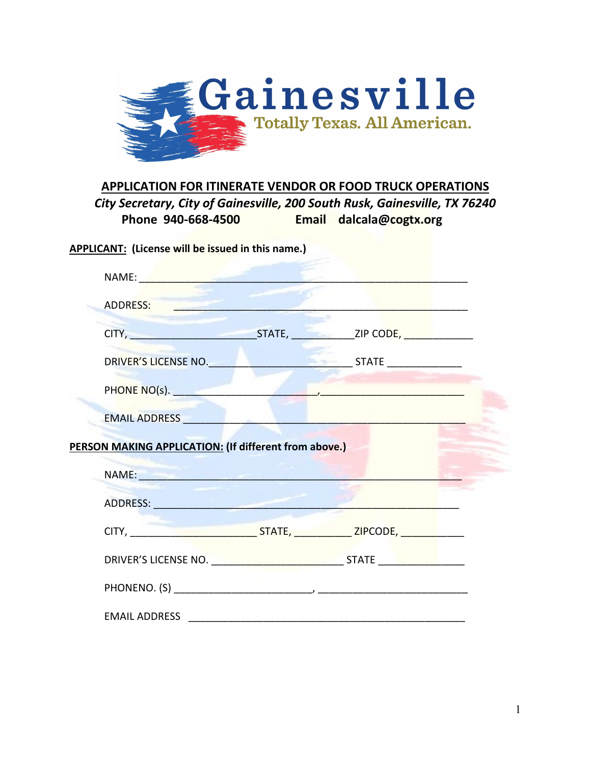

## **APPLICATION FOR ITINERATE VENDOR OR FOOD TRUCK OPERATIONS**

*City Secretary, City of Gainesville, 200 South Rusk, Gainesville, TX 76240* **Phone 940-668-4500 Email dalcala@cogtx.org**

**APPLICANT: (License will be issued in this name.)**

| NAME: 2008 - 2008 - 2008 - 2019 - 2019 - 2019 - 2019 - 2019 - 2019 - 2019 - 2019 - 2019 - 2019 - 2019 - 2019 -                                                                                                     |  |  |
|--------------------------------------------------------------------------------------------------------------------------------------------------------------------------------------------------------------------|--|--|
| ADDRESS: Andrew Management of the ADDRESS:                                                                                                                                                                         |  |  |
|                                                                                                                                                                                                                    |  |  |
|                                                                                                                                                                                                                    |  |  |
|                                                                                                                                                                                                                    |  |  |
| EMAIL ADDRESS                                                                                                                                                                                                      |  |  |
|                                                                                                                                                                                                                    |  |  |
|                                                                                                                                                                                                                    |  |  |
|                                                                                                                                                                                                                    |  |  |
| <b>PERSON MAKING APPLICATION: (If different from above.)</b><br>NAME: NAME:<br>ADDRESS: ADDRESS:<br>CITY, CITY, CONTRACT CITY, CITY, CITY, CITY, CITY, CITY, CITY, CITY, CITY, CITY, CITY, CITY, CITY, CITY, CITY, |  |  |
| DRIVER'S LICENSE NO. <u>And a series of the state state and state and state and state and state and state and sta</u>                                                                                              |  |  |
|                                                                                                                                                                                                                    |  |  |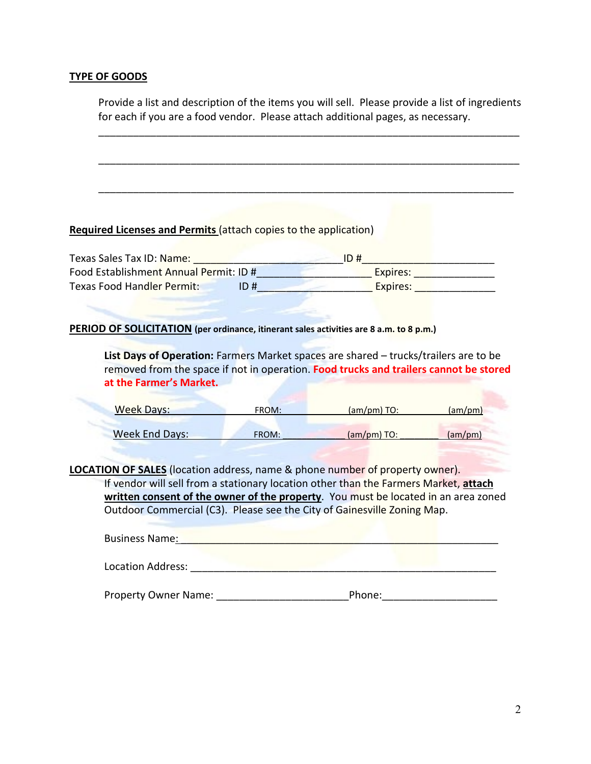#### **TYPE OF GOODS**

Provide a list and description of the items you will sell. Please provide a list of ingredients for each if you are a food vendor. Please attach additional pages, as necessary.

\_\_\_\_\_\_\_\_\_\_\_\_\_\_\_\_\_\_\_\_\_\_\_\_\_\_\_\_\_\_\_\_\_\_\_\_\_\_\_\_\_\_\_\_\_\_\_\_\_\_\_\_\_\_\_\_\_\_\_\_\_\_\_\_\_\_\_\_\_\_\_\_\_

\_\_\_\_\_\_\_\_\_\_\_\_\_\_\_\_\_\_\_\_\_\_\_\_\_\_\_\_\_\_\_\_\_\_\_\_\_\_\_\_\_\_\_\_\_\_\_\_\_\_\_\_\_\_\_\_\_\_\_\_\_\_\_\_\_\_\_\_\_\_\_\_\_

\_\_\_\_\_\_\_\_\_\_\_\_\_\_\_\_\_\_\_\_\_\_\_\_\_\_\_\_\_\_\_\_\_\_\_\_\_\_\_\_\_\_\_\_\_\_\_\_\_\_\_\_\_\_\_\_\_\_\_\_\_\_\_\_\_\_\_\_\_\_\_\_

#### **Required Licenses and Permits** (attach copies to the application)

| Texas Sales Tax ID: Name:              |      | ID # |          |  |
|----------------------------------------|------|------|----------|--|
| Food Establishment Annual Permit: ID # |      |      | Expires: |  |
| Texas Food Handler Permit:             | ID # |      | Expires: |  |

**PERIOD OF SOLICITATION (per ordinance, itinerant sales activities are 8 a.m. to 8 p.m.)**

**List Days of Operation:** Farmers Market spaces are shared – trucks/trailers are to be removed from the space if not in operation. **Food trucks and trailers cannot be stored at the Farmer's Market.**

| <b>Week Days:</b> | FROM: | $(am/mm)$ TO: | (am/pm) |
|-------------------|-------|---------------|---------|
| Week End Days:    | FROM: | $(am/mm)$ TO: | (am/pm) |

**LOCATION OF SALES** (location address, name & phone number of property owner). If vendor will sell from a stationary location other than the Farmers Market, **attach written consent of the owner of the property**. You must be located in an area zoned Outdoor Commercial (C3). Please see the City of Gainesville Zoning Map.

| <b>Business Name:</b>       |        |
|-----------------------------|--------|
| Location Address:           |        |
| <b>Property Owner Name:</b> | Phone: |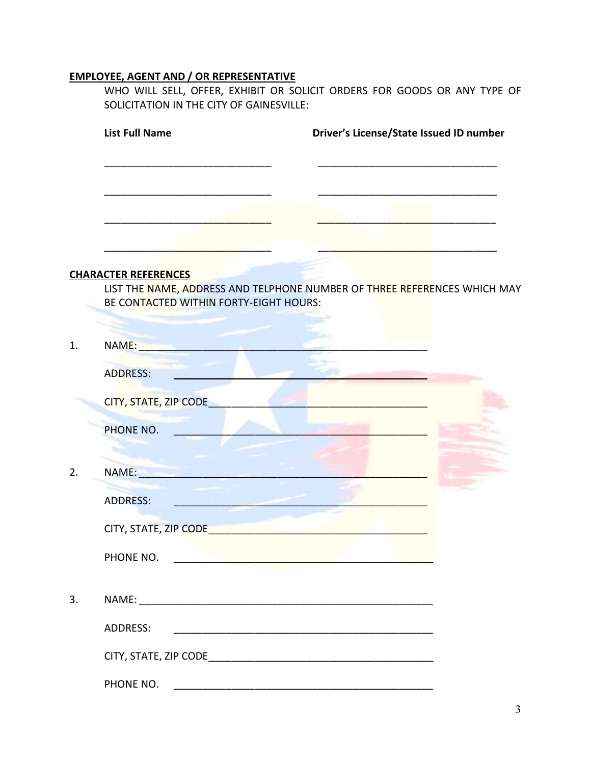## **EMPLOYEE, AGENT AND / OR REPRESENTATIVE**

WHO WILL SELL, OFFER, EXHIBIT OR SOLICIT ORDERS FOR GOODS OR ANY TYPE OF SOLICITATION IN THE CITY OF GAINESVILLE:

|    | <b>List Full Name</b>                                                     | Driver's License/State Issued ID number                                  |
|----|---------------------------------------------------------------------------|--------------------------------------------------------------------------|
|    |                                                                           |                                                                          |
|    |                                                                           |                                                                          |
|    |                                                                           |                                                                          |
|    | <b>CHARACTER REFERENCES</b>                                               |                                                                          |
|    | BE CONTACTED WITHIN FORTY-EIGHT HOURS:                                    | LIST THE NAME, ADDRESS AND TELPHONE NUMBER OF THREE REFERENCES WHICH MAY |
|    |                                                                           |                                                                          |
| 1. | NAME: NAME                                                                |                                                                          |
|    | <b>ADDRESS:</b>                                                           |                                                                          |
|    | CITY, STATE, ZIP CODE                                                     |                                                                          |
|    | PHONE NO.                                                                 |                                                                          |
|    |                                                                           |                                                                          |
| 2. | NAME: NAME                                                                |                                                                          |
|    | <b>ADDRESS:</b>                                                           |                                                                          |
|    | CITY, STATE, ZIP CODE                                                     |                                                                          |
|    | PHONE NO.<br><u> 1995 - Alban Barnett, amerikansk politiker (d. 1985)</u> |                                                                          |
|    |                                                                           |                                                                          |
| 3. |                                                                           |                                                                          |
|    | ADDRESS:                                                                  |                                                                          |
|    |                                                                           |                                                                          |
|    | PHONE NO.                                                                 |                                                                          |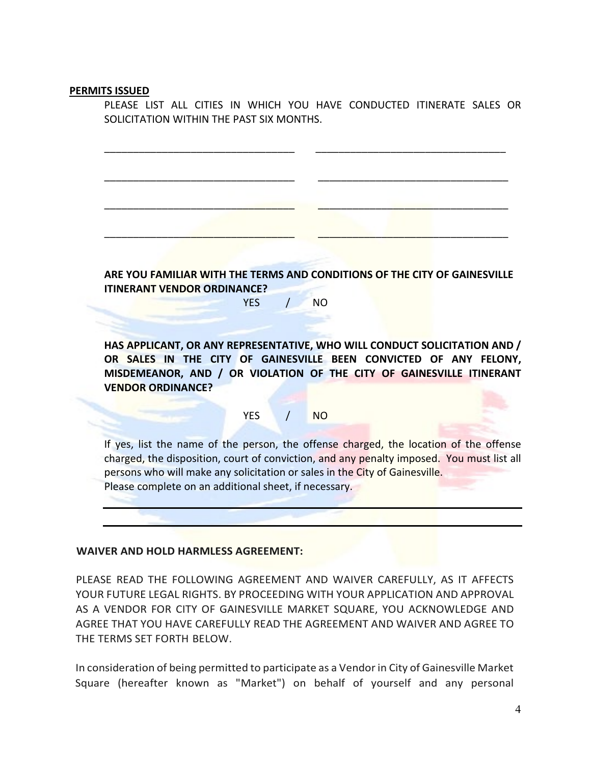#### **PERMITS ISSUED**

PLEASE LIST ALL CITIES IN WHICH YOU HAVE CONDUCTED ITINERATE SALES OR SOLICITATION WITHIN THE PAST SIX MONTHS.

\_\_\_\_\_\_\_\_\_\_\_\_\_\_\_\_\_\_\_\_\_\_\_\_\_\_\_\_\_\_\_\_\_ \_\_\_\_\_\_\_\_\_\_\_\_\_\_\_\_\_\_\_\_\_\_\_\_\_\_\_\_\_\_\_\_\_

\_\_\_\_\_\_\_\_\_\_\_\_\_\_\_\_\_\_\_\_\_\_\_\_\_\_\_\_\_\_\_\_\_ \_\_\_\_\_\_\_\_\_\_\_\_\_\_\_\_\_\_\_\_\_\_\_\_\_\_\_\_\_\_\_\_\_

\_\_\_\_\_\_\_\_\_\_\_\_\_\_\_\_\_\_\_\_\_\_\_\_\_\_\_\_\_\_\_\_\_ \_\_\_\_\_\_\_\_\_\_\_\_\_\_\_\_\_\_\_\_\_\_\_\_\_\_\_\_\_\_\_\_\_

\_\_\_\_\_\_\_\_\_\_\_\_\_\_\_\_\_\_\_\_\_\_\_\_\_\_\_\_\_\_\_\_\_ \_\_\_\_\_\_\_\_\_\_\_\_\_\_\_\_\_\_\_\_\_\_\_\_\_\_\_\_\_\_\_\_\_

**ARE YOU FAMILIAR WITH THE TERMS AND CONDITIONS OF THE CITY OF GAINESVILLE ITINERANT VENDOR ORDINANCE?**

YES / NO

**HAS APPLICANT, OR ANY REPRESENTATIVE, WHO WILL CONDUCT SOLICITATION AND / OR SALES IN THE CITY OF GAINESVILLE BEEN CONVICTED OF ANY FELONY, MISDEMEANOR, AND / OR VIOLATION OF THE CITY OF GAINESVILLE ITINERANT VENDOR ORDINANCE?**

#### YES / NO

If yes, list the name of the person, the offense charged, the location of the offense charged, the disposition, court of conviction, and any penalty imposed. You must list all persons who will make any solicitation or sales in the City of Gainesville. Please complete on an additional sheet, if necessary.

#### **WAIVER AND HOLD HARMLESS AGREEMENT:**

PLEASE READ THE FOLLOWING AGREEMENT AND WAIVER CAREFULLY, AS IT AFFECTS YOUR FUTURE LEGAL RIGHTS. BY PROCEEDING WITH YOUR APPLICATION AND APPROVAL AS A VENDOR FOR CITY OF GAINESVILLE MARKET SQUARE, YOU ACKNOWLEDGE AND AGREE THAT YOU HAVE CAREFULLY READ THE AGREEMENT AND WAIVER AND AGREE TO THE TERMS SET FORTH BELOW.

In consideration of being permitted to participate as a Vendor in City of Gainesville Market Square (hereafter known as "Market") on behalf of yourself and any personal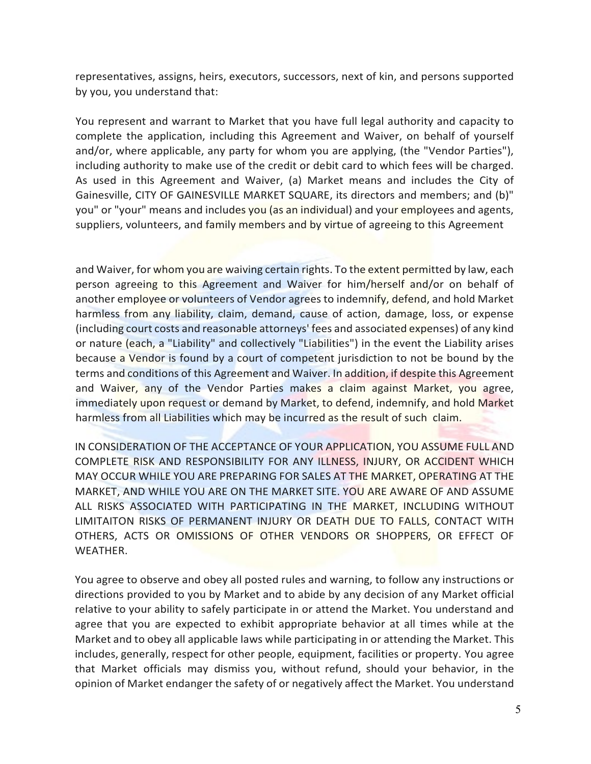representatives, assigns, heirs, executors, successors, next of kin, and persons supported by you, you understand that:

You represent and warrant to Market that you have full legal authority and capacity to complete the application, including this Agreement and Waiver, on behalf of yourself and/or, where applicable, any party for whom you are applying, (the "Vendor Parties"), including authority to make use of the credit or debit card to which fees will be charged. As used in this Agreement and Waiver, (a) Market means and includes the City of Gainesville, CITY OF GAINESVILLE MARKET SQUARE, its directors and members; and (b)" you" or "your" means and includes you (as an individual) and your employees and agents, suppliers, volunteers, and family members and by virtue of agreeing to this Agreement

and Waiver, for whom you are waiving certain rights. To the extent permitted by law, each person agreeing to this Agreement and Waiver for him/herself and/or on behalf of another employee or volunteers of Vendor agrees to indemnify, defend, and hold Market harmless from any liability, claim, demand, cause of action, damage, loss, or expense (including court costs and reasonable attorneys' fees and associated expenses) of any kind or nature (each, a "Liability" and collectively "Liabilities") in the event the Liability arises because a Vendor is found by a court of competent jurisdiction to not be bound by the terms and conditions of this Agreement and Waiver. In addition, if despite this Agreement and Waiver, any of the Vendor Parties makes a claim against Market, you agree, immediately upon request or demand by Market, to defend, indemnify, and hold Market harmless from all Liabilities which may be incurred as the result of such claim.

IN CONSIDERATION OF THE ACCEPTANCE OF YOUR APPLICATION, YOU ASSUME FULL AND COMPLETE RISK AND RESPONSIBILITY FOR ANY ILLNESS, INJURY, OR ACCIDENT WHICH MAY OCCUR WHILE YOU ARE PREPARING FOR SALES AT THE MARKET, OPERATING AT THE MARKET, AND WHILE YOU ARE ON THE MARKET SITE. YOU ARE AWARE OF AND ASSUME ALL RISKS ASSOCIATED WITH PARTICIPATING IN THE MARKET, INCLUDING WITHOUT LIMITAITON RISKS OF PERMANENT INJURY OR DEATH DUE TO FALLS, CONTACT WITH OTHERS, ACTS OR OMISSIONS OF OTHER VENDORS OR SHOPPERS, OR EFFECT OF WEATHER.

You agree to observe and obey all posted rules and warning, to follow any instructions or directions provided to you by Market and to abide by any decision of any Market official relative to your ability to safely participate in or attend the Market. You understand and agree that you are expected to exhibit appropriate behavior at all times while at the Market and to obey all applicable laws while participating in or attending the Market. This includes, generally, respect for other people, equipment, facilities or property. You agree that Market officials may dismiss you, without refund, should your behavior, in the opinion of Market endanger the safety of or negatively affect the Market. You understand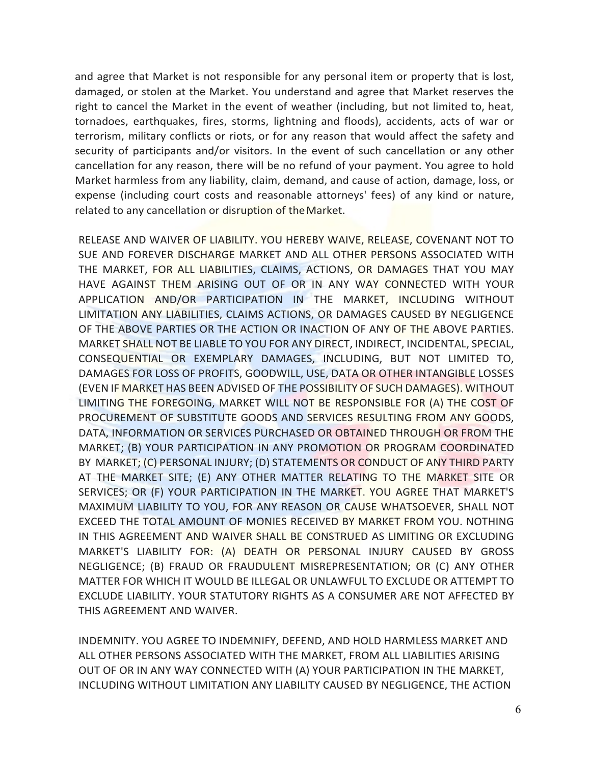and agree that Market is not responsible for any personal item or property that is lost, damaged, or stolen at the Market. You understand and agree that Market reserves the right to cancel the Market in the event of weather (including, but not limited to, heat, tornadoes, earthquakes, fires, storms, lightning and floods), accidents, acts of war or terrorism, military conflicts or riots, or for any reason that would affect the safety and security of participants and/or visitors. In the event of such cancellation or any other cancellation for any reason, there will be no refund of your payment. You agree to hold Market harmless from any liability, claim, demand, and cause of action, damage, loss, or expense (including court costs and reasonable attorneys' fees) of any kind or nature, related to any cancellation or disruption of the Market.

RELEASE AND WAIVER OF LIABILITY. YOU HEREBY WAIVE, RELEASE, COVENANT NOT TO SUE AND FOREVER DISCHARGE MARKET AND ALL OTHER PERSONS ASSOCIATED WITH THE MARKET, FOR ALL LIABILITIES, CLAIMS, ACTIONS, OR DAMAGES THAT YOU MAY HAVE AGAINST THEM ARISING OUT OF OR IN ANY WAY CONNECTED WITH YOUR APPLICATION AND/OR PARTICIPATION IN THE MARKET, INCLUDING WITHOUT LIMITATION ANY LIABILITIES, CLAIMS ACTIONS, OR DAMAGES CAUSED BY NEGLIGENCE OF THE ABOVE PARTIES OR THE ACTION OR INACTION OF ANY OF THE ABOVE PARTIES. MARKET SHALL NOT BE LIABLE TO YOU FOR ANY DIRECT, INDIRECT, INCIDENTAL, SPECIAL, CONSEQUENTIAL OR EXEMPLARY DAMAGES, INCLUDING, BUT NOT LIMITED TO, DAMAGES FOR LOSS OF PROFITS, GOODWILL, USE, DATA OR OTHER INTANGIBLE LOSSES (EVEN IF MARKET HAS BEEN ADVISED OF THE POSSIBILITY OF SUCH DAMAGES). WITHOUT LIMITING THE FOREGOING, MARKET WILL NOT BE RESPONSIBLE FOR (A) THE COST OF PROCUREMENT OF SUBSTITUTE GOODS AND SERVICES RESULTING FROM ANY GOODS, DATA, INFORMATION OR SERVICES PURCHASED OR OBTAINED THROUGH OR FROM THE MARKET; (B) YOUR PARTICIPATION IN ANY PROMOTION OR PROGRAM COORDINATED BY MARKET; (C) PERSONAL INJURY; (D) STATEMENTS OR CONDUCT OF ANY THIRD PARTY AT THE MARKET SITE; (E) ANY OTHER MATTER RELATING TO THE MARKET SITE OR SERVICES; OR (F) YOUR PARTICIPATION IN THE MARKET. YOU AGREE THAT MARKET'S MAXIMUM LIABILITY TO YOU, FOR ANY REASON OR CAUSE WHATSOEVER, SHALL NOT EXCEED THE TOTAL AMOUNT OF MONIES RECEIVED BY MARKET FROM YOU. NOTHING IN THIS AGREEMENT AND WAIVER SHALL BE CONSTRUED AS LIMITING OR EXCLUDING MARKET'S LIABILITY FOR: (A) DEATH OR PERSONAL INJURY CAUSED BY GROSS NEGLIGENCE; (B) FRAUD OR FRAUDULENT MISREPRESENTATION; OR (C) ANY OTHER MATTER FOR WHICH IT WOULD BE ILLEGAL OR UNLAWFUL TO EXCLUDE OR ATTEMPT TO EXCLUDE LIABILITY. YOUR STATUTORY RIGHTS AS A CONSUMER ARE NOT AFFECTED BY THIS AGREEMENT AND WAIVER.

INDEMNITY. YOU AGREE TO INDEMNIFY, DEFEND, AND HOLD HARMLESS MARKET AND ALL OTHER PERSONS ASSOCIATED WITH THE MARKET, FROM ALL LIABILITIES ARISING OUT OF OR IN ANY WAY CONNECTED WITH (A) YOUR PARTICIPATION IN THE MARKET, INCLUDING WITHOUT LIMITATION ANY LIABILITY CAUSED BY NEGLIGENCE, THE ACTION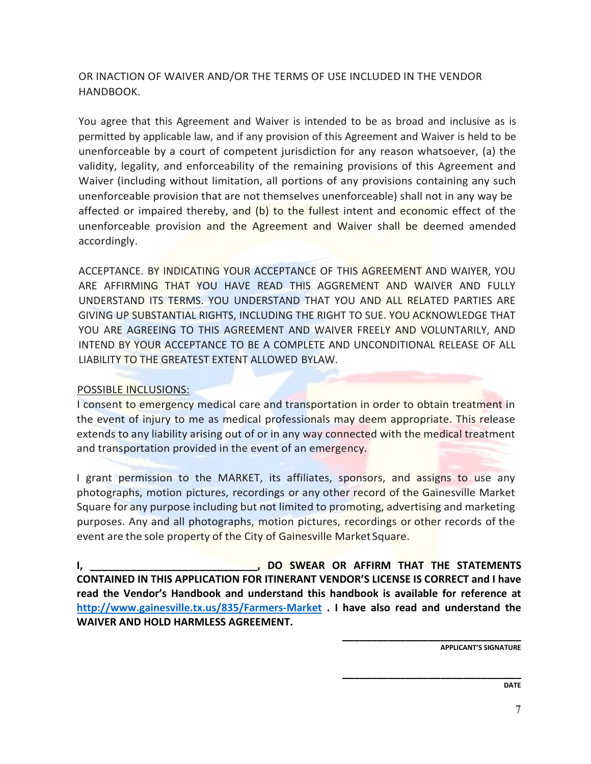OR INACTION OF WAIVER AND/OR THE TERMS OF USE INCLUDED IN THE VENDOR HANDBOOK.

You agree that this Agreement and Waiver is intended to be as broad and inclusive as is permitted by applicable law, and if any provision of this Agreement and Waiver is held to be unenforceable by a court of competent jurisdiction for any reason whatsoever, (a) the validity, legality, and enforceability of the remaining provisions of this Agreement and Waiver (including without limitation, all portions of any provisions containing any such unenforceable provision that are not themselves unenforceable) shall not in any way be affected or impaired thereby, and (b) to the fullest intent and economic effect of the unenforceable provision and the Agreement and Waiver shall be deemed amended accordingly.

ACCEPTANCE. BY INDICATING YOUR ACCEPTANCE OF THIS AGREEMENT AND WAIYER, YOU ARE AFFIRMING THAT YOU HAVE READ THIS AGGREMENT AND WAIVER AND FULLY UNDERSTAND ITS TERMS. YOU UNDERSTAND THAT YOU AND ALL RELATED PARTIES ARE GIVING UP SUBSTANTIAL RIGHTS, INCLUDING THE RIGHT TO SUE. YOU ACKNOWLEDGE THAT YOU ARE AGREEING TO THIS AGREEMENT AND WAIVER FREELY AND VOLUNTARILY, AND INTEND BY YOUR ACCEPTANCE TO BE A COMPLETE AND UNCONDITIONAL RELEASE OF ALL LIABILITY TO THE GREATEST EXTENT ALLOWED BYLAW.

### POSSIBLE INCLUSIONS:

I consent to emergency medical care and transportation in order to obtain treatment in the event of injury to me as medical professionals may deem appropriate. This release extends to any liability arising out of or in any way connected with the medical treatment and transportation provided in the event of an emergency.

I grant permission to the MARKET, its affiliates, sponsors, and assigns to use any photographs, motion pictures, recordings or any other record of the Gainesville Market Square for any purpose including but not limited to promoting, advertising and marketing purposes. Any and all photographs, motion pictures, recordings or other records of the event are the sole property of the City of Gainesville Market Square.

**I,**  THE STATEMENTS **I I, DO SWEAR OR AFFIRM THAT THE STATEMENTS CONTAINED IN THIS APPLICATION FOR ITINERANT VENDOR'S LICENSE IS CORRECT and I have read the Vendor's Handbook and understand this handbook is available for reference at <http://www.gainesville.tx.us/835/Farmers-Market> . I have also read and understand the WAIVER AND HOLD HARMLESS AGREEMENT.**

> **\_\_\_\_\_\_\_\_\_\_\_\_\_\_\_\_\_\_\_\_\_\_\_\_\_\_\_\_\_\_\_ APPLICANT'S SIGNATURE**

**\_\_\_\_\_\_\_\_\_\_\_\_\_\_\_\_\_\_\_\_\_\_\_\_\_\_\_\_\_\_\_**

**DATE**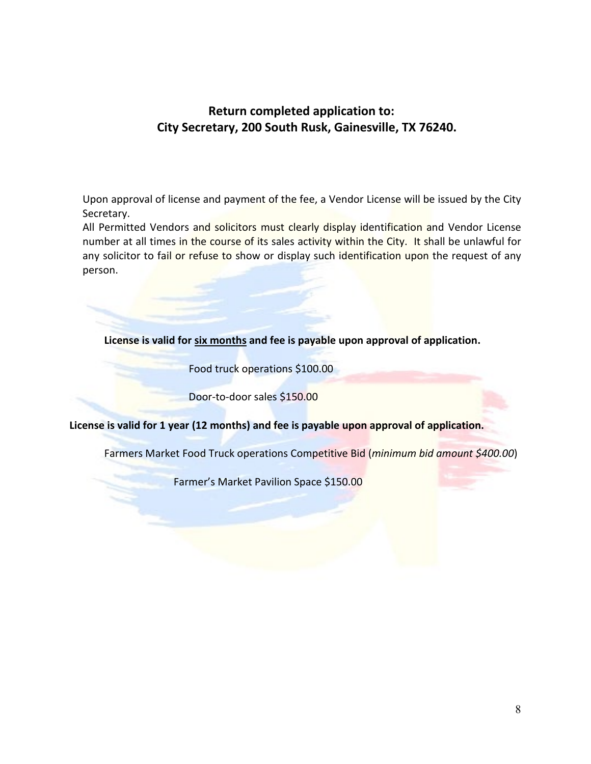## **Return completed application to: City Secretary, 200 South Rusk, Gainesville, TX 76240.**

Upon approval of license and payment of the fee, a Vendor License will be issued by the City Secretary.

All Permitted Vendors and solicitors must clearly display identification and Vendor License number at all times in the course of its sales activity within the City. It shall be unlawful for any solicitor to fail or refuse to show or display such identification upon the request of any person.

**License is valid for six months and fee is payable upon approval of application.** 

Food truck operations \$100.00

Door-to-door sales \$150.00

**License is valid for 1 year (12 months) and fee is payable upon approval of application.**

Farmers Market Food Truck operations Competitive Bid (*minimum bid amount \$400.00*)

Farmer's Market Pavilion Space \$150.00